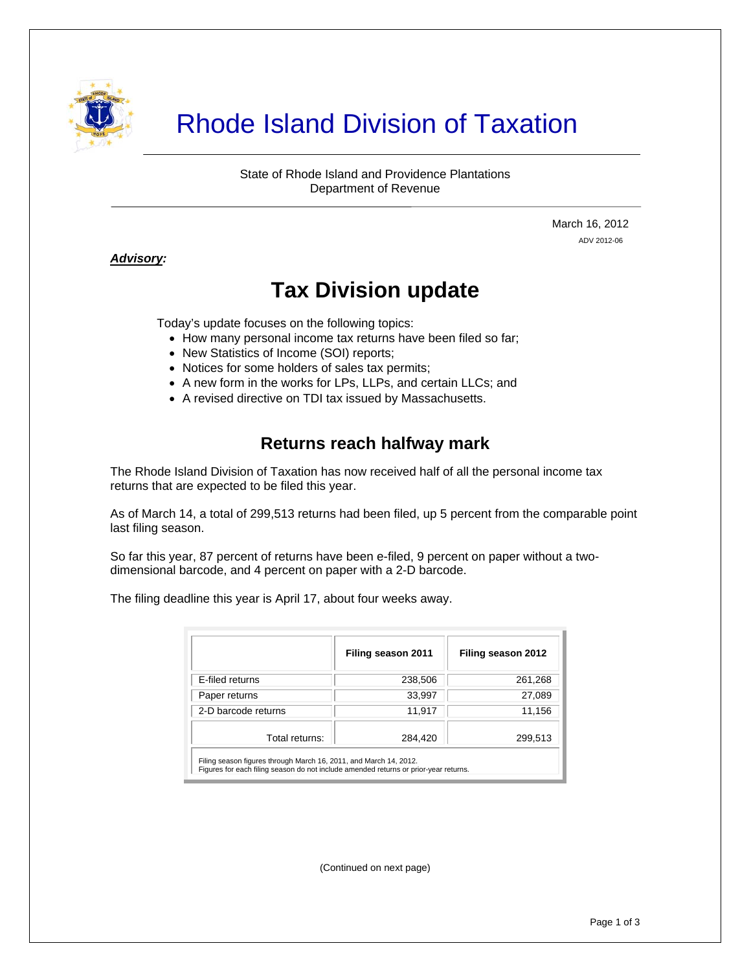

# Rhode Island Division of Taxation

State of Rhode Island and Providence Plantations Department of Revenue

> March 16, 2012 ADV 2012-06

#### *Advisory:*

j

## **Tax Division update**

Today's update focuses on the following topics:

- How many personal income tax returns have been filed so far;
- New Statistics of Income (SOI) reports;
- Notices for some holders of sales tax permits;
- A new form in the works for LPs, LLPs, and certain LLCs; and
- A revised directive on TDI tax issued by Massachusetts.

#### **Returns reach halfway mark**

The Rhode Island Division of Taxation has now received half of all the personal income tax returns that are expected to be filed this year.

As of March 14, a total of 299,513 returns had been filed, up 5 percent from the comparable point last filing season.

So far this year, 87 percent of returns have been e-filed, 9 percent on paper without a twodimensional barcode, and 4 percent on paper with a 2-D barcode.

The filing deadline this year is April 17, about four weeks away.

|                                                                                                                                                           | Filing season 2011 | Filing season 2012 |
|-----------------------------------------------------------------------------------------------------------------------------------------------------------|--------------------|--------------------|
| E-filed returns                                                                                                                                           | 238,506            | 261,268            |
| Paper returns                                                                                                                                             | 33,997             | 27,089             |
| 2-D barcode returns                                                                                                                                       | 11,917             | 11,156             |
| Total returns:                                                                                                                                            | 284,420            | 299,513            |
| Filing season figures through March 16, 2011, and March 14, 2012.<br>Figures for each filing season do not include amended returns or prior-year returns. |                    |                    |

(Continued on next page)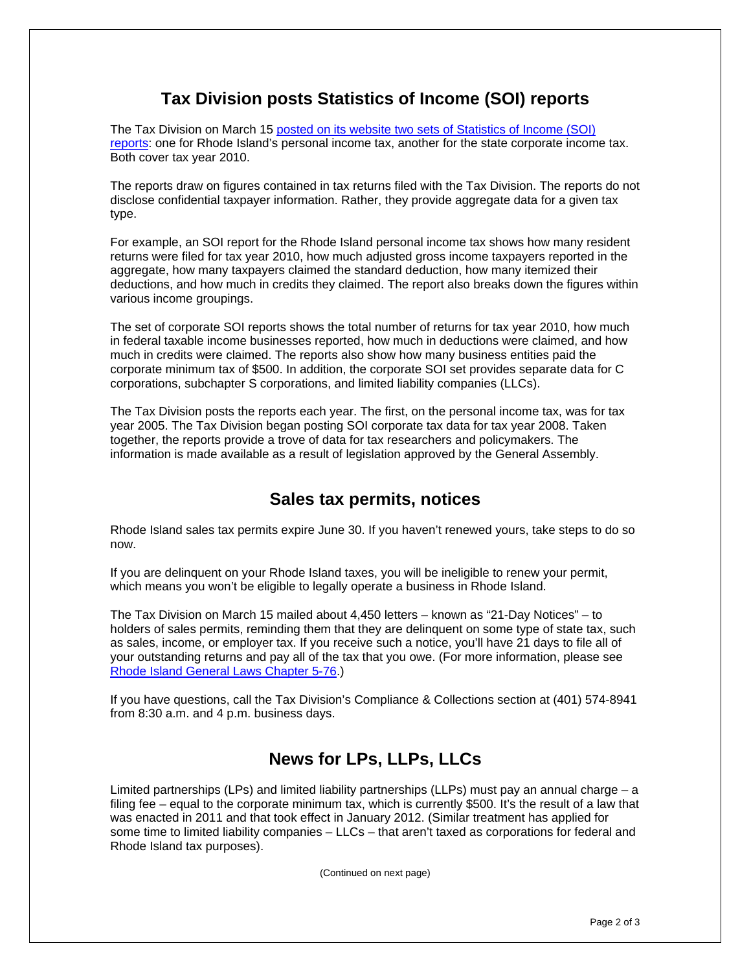### **Tax Division posts Statistics of Income (SOI) reports**

The Tax Division on March 15 [posted on its website two sets of Statistics of Income \(SOI\)](http://www.tax.ri.gov/reports/index.php)  [reports](http://www.tax.ri.gov/reports/index.php): one for Rhode Island's personal income tax, another for the state corporate income tax. Both cover tax year 2010.

The reports draw on figures contained in tax returns filed with the Tax Division. The reports do not disclose confidential taxpayer information. Rather, they provide aggregate data for a given tax type.

For example, an SOI report for the Rhode Island personal income tax shows how many resident returns were filed for tax year 2010, how much adjusted gross income taxpayers reported in the aggregate, how many taxpayers claimed the standard deduction, how many itemized their deductions, and how much in credits they claimed. The report also breaks down the figures within various income groupings.

The set of corporate SOI reports shows the total number of returns for tax year 2010, how much in federal taxable income businesses reported, how much in deductions were claimed, and how much in credits were claimed. The reports also show how many business entities paid the corporate minimum tax of \$500. In addition, the corporate SOI set provides separate data for C corporations, subchapter S corporations, and limited liability companies (LLCs).

The Tax Division posts the reports each year. The first, on the personal income tax, was for tax year 2005. The Tax Division began posting SOI corporate tax data for tax year 2008. Taken together, the reports provide a trove of data for tax researchers and policymakers. The information is made available as a result of legislation approved by the General Assembly.

#### **Sales tax permits, notices**

Rhode Island sales tax permits expire June 30. If you haven't renewed yours, take steps to do so now.

If you are delinquent on your Rhode Island taxes, you will be ineligible to renew your permit, which means you won't be eligible to legally operate a business in Rhode Island.

The Tax Division on March 15 mailed about 4,450 letters – known as "21-Day Notices" – to holders of sales permits, reminding them that they are delinquent on some type of state tax, such as sales, income, or employer tax. If you receive such a notice, you'll have 21 days to file all of your outstanding returns and pay all of the tax that you owe. (For more information, please see [Rhode Island General Laws Chapter 5-76](http://www.rilin.state.ri.us/Statutes/TITLE5/5-76/INDEX.HTM).)

If you have questions, call the Tax Division's Compliance & Collections section at (401) 574-8941 from 8:30 a.m. and 4 p.m. business days.

### **News for LPs, LLPs, LLCs**

Limited partnerships (LPs) and limited liability partnerships (LLPs) must pay an annual charge – a filing fee – equal to the corporate minimum tax, which is currently \$500. It's the result of a law that was enacted in 2011 and that took effect in January 2012. (Similar treatment has applied for some time to limited liability companies – LLCs – that aren't taxed as corporations for federal and Rhode Island tax purposes).

(Continued on next page)